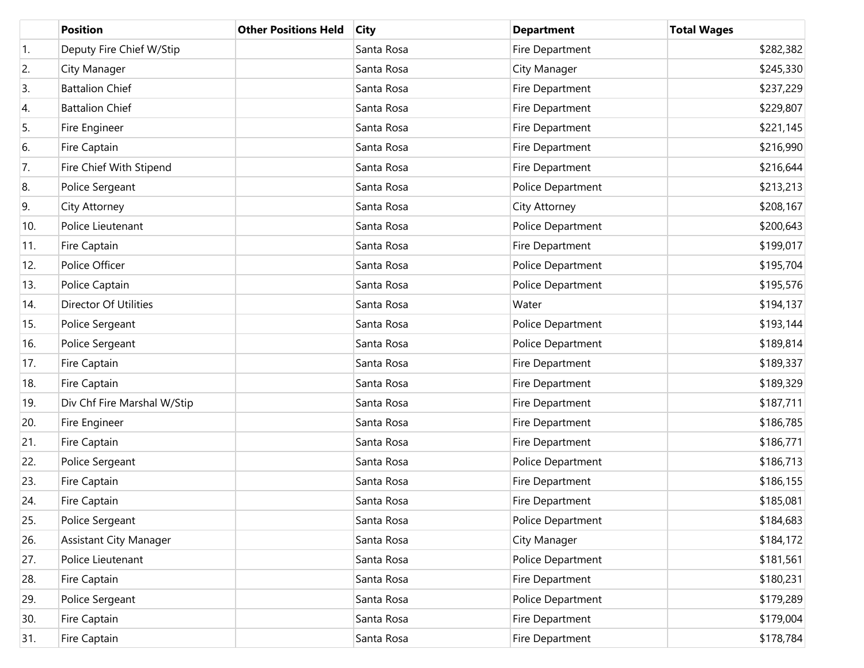|     | <b>Position</b>             | <b>Other Positions Held</b> | <b>City</b> | <b>Department</b> | <b>Total Wages</b> |
|-----|-----------------------------|-----------------------------|-------------|-------------------|--------------------|
| 1.  | Deputy Fire Chief W/Stip    |                             | Santa Rosa  | Fire Department   | \$282,382          |
| 2.  | City Manager                |                             | Santa Rosa  | City Manager      | \$245,330          |
| 3.  | <b>Battalion Chief</b>      |                             | Santa Rosa  | Fire Department   | \$237,229          |
| 4.  | <b>Battalion Chief</b>      |                             | Santa Rosa  | Fire Department   | \$229,807          |
| 5.  | Fire Engineer               |                             | Santa Rosa  | Fire Department   | \$221,145          |
| 6.  | Fire Captain                |                             | Santa Rosa  | Fire Department   | \$216,990          |
| 7.  | Fire Chief With Stipend     |                             | Santa Rosa  | Fire Department   | \$216,644          |
| 8.  | Police Sergeant             |                             | Santa Rosa  | Police Department | \$213,213          |
| 9.  | City Attorney               |                             | Santa Rosa  | City Attorney     | \$208,167          |
| 10. | Police Lieutenant           |                             | Santa Rosa  | Police Department | \$200,643          |
| 11. | Fire Captain                |                             | Santa Rosa  | Fire Department   | \$199,017          |
| 12. | Police Officer              |                             | Santa Rosa  | Police Department | \$195,704          |
| 13. | Police Captain              |                             | Santa Rosa  | Police Department | \$195,576          |
| 14. | Director Of Utilities       |                             | Santa Rosa  | Water             | \$194,137          |
| 15. | Police Sergeant             |                             | Santa Rosa  | Police Department | \$193,144          |
| 16. | Police Sergeant             |                             | Santa Rosa  | Police Department | \$189,814          |
| 17. | Fire Captain                |                             | Santa Rosa  | Fire Department   | \$189,337          |
| 18. | Fire Captain                |                             | Santa Rosa  | Fire Department   | \$189,329          |
| 19. | Div Chf Fire Marshal W/Stip |                             | Santa Rosa  | Fire Department   | \$187,711          |
| 20. | Fire Engineer               |                             | Santa Rosa  | Fire Department   | \$186,785          |
| 21. | Fire Captain                |                             | Santa Rosa  | Fire Department   | \$186,771          |
| 22. | Police Sergeant             |                             | Santa Rosa  | Police Department | \$186,713          |
| 23. | Fire Captain                |                             | Santa Rosa  | Fire Department   | \$186,155          |
| 24. | Fire Captain                |                             | Santa Rosa  | Fire Department   | \$185,081          |
| 25. | Police Sergeant             |                             | Santa Rosa  | Police Department | \$184,683          |
| 26. | Assistant City Manager      |                             | Santa Rosa  | City Manager      | \$184,172          |
| 27. | Police Lieutenant           |                             | Santa Rosa  | Police Department | \$181,561          |
| 28. | Fire Captain                |                             | Santa Rosa  | Fire Department   | \$180,231          |
| 29. | Police Sergeant             |                             | Santa Rosa  | Police Department | \$179,289          |
| 30. | Fire Captain                |                             | Santa Rosa  | Fire Department   | \$179,004          |
| 31. | Fire Captain                |                             | Santa Rosa  | Fire Department   | \$178,784          |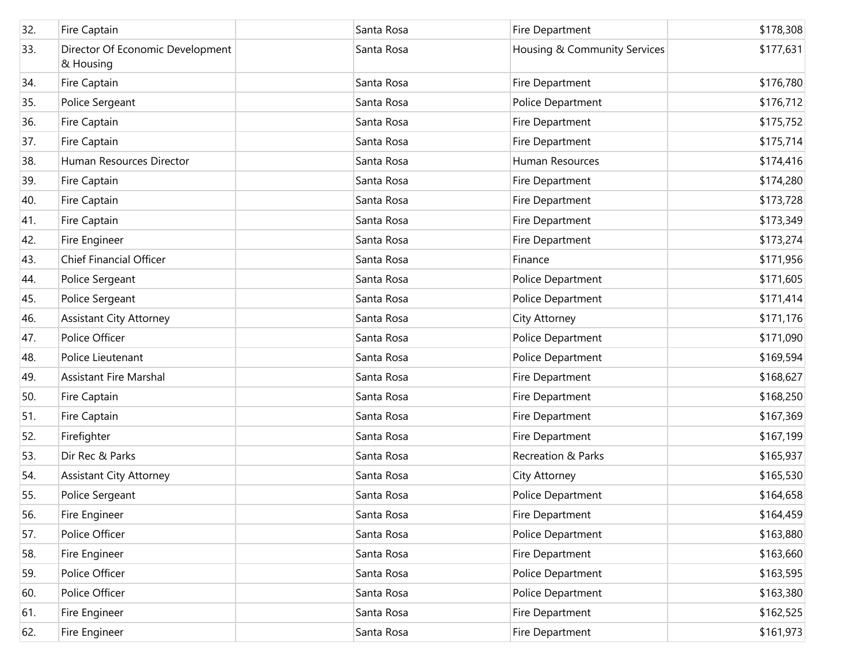| 32. | Fire Captain                                  | Santa Rosa | Fire Department              | \$178,308 |
|-----|-----------------------------------------------|------------|------------------------------|-----------|
| 33. | Director Of Economic Development<br>& Housing | Santa Rosa | Housing & Community Services | \$177,631 |
| 34. | Fire Captain                                  | Santa Rosa | Fire Department              | \$176,780 |
| 35. | Police Sergeant                               | Santa Rosa | Police Department            | \$176,712 |
| 36. | Fire Captain                                  | Santa Rosa | Fire Department              | \$175,752 |
| 37. | Fire Captain                                  | Santa Rosa | Fire Department              | \$175,714 |
| 38. | Human Resources Director                      | Santa Rosa | Human Resources              | \$174,416 |
| 39. | Fire Captain                                  | Santa Rosa | Fire Department              | \$174,280 |
| 40. | Fire Captain                                  | Santa Rosa | Fire Department              | \$173,728 |
| 41. | Fire Captain                                  | Santa Rosa | Fire Department              | \$173,349 |
| 42. | Fire Engineer                                 | Santa Rosa | Fire Department              | \$173,274 |
| 43. | <b>Chief Financial Officer</b>                | Santa Rosa | Finance                      | \$171,956 |
| 44. | Police Sergeant                               | Santa Rosa | Police Department            | \$171,605 |
| 45. | Police Sergeant                               | Santa Rosa | Police Department            | \$171,414 |
| 46. | <b>Assistant City Attorney</b>                | Santa Rosa | City Attorney                | \$171,176 |
| 47. | Police Officer                                | Santa Rosa | Police Department            | \$171,090 |
| 48. | Police Lieutenant                             | Santa Rosa | Police Department            | \$169,594 |
| 49. | <b>Assistant Fire Marshal</b>                 | Santa Rosa | Fire Department              | \$168,627 |
| 50. | Fire Captain                                  | Santa Rosa | Fire Department              | \$168,250 |
| 51. | Fire Captain                                  | Santa Rosa | Fire Department              | \$167,369 |
| 52. | Firefighter                                   | Santa Rosa | Fire Department              | \$167,199 |
| 53. | Dir Rec & Parks                               | Santa Rosa | Recreation & Parks           | \$165,937 |
| 54. | <b>Assistant City Attorney</b>                | Santa Rosa | City Attorney                | \$165,530 |
| 55. | Police Sergeant                               | Santa Rosa | Police Department            | \$164,658 |
| 56. | Fire Engineer                                 | Santa Rosa | Fire Department              | \$164,459 |
| 57. | Police Officer                                | Santa Rosa | Police Department            | \$163,880 |
| 58. | Fire Engineer                                 | Santa Rosa | Fire Department              | \$163,660 |
| 59. | Police Officer                                | Santa Rosa | Police Department            | \$163,595 |
| 60. | Police Officer                                | Santa Rosa | Police Department            | \$163,380 |
| 61. | Fire Engineer                                 | Santa Rosa | Fire Department              | \$162,525 |
| 62. | Fire Engineer                                 | Santa Rosa | Fire Department              | \$161,973 |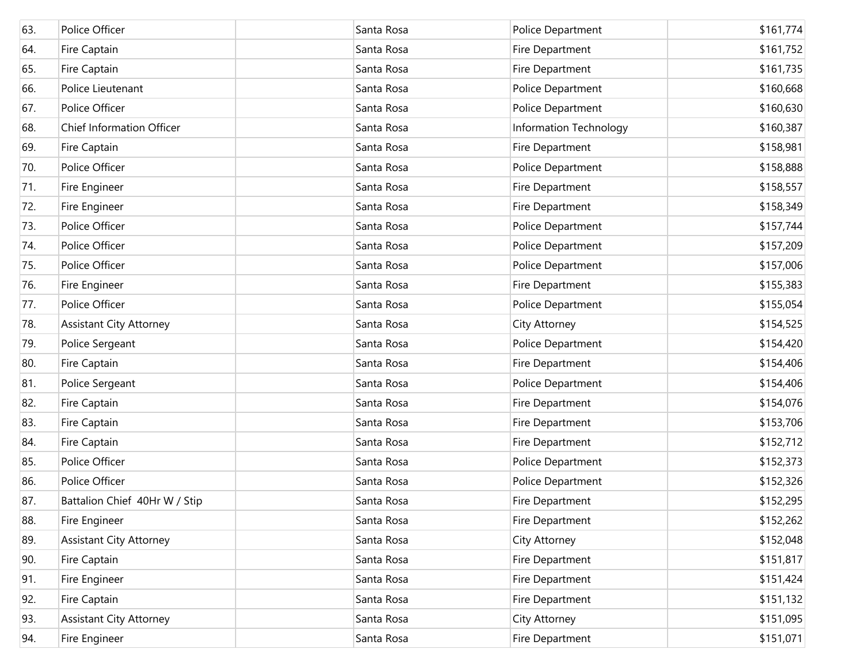| 63. | Police Officer                 | Santa Rosa | Police Department      | \$161,774 |
|-----|--------------------------------|------------|------------------------|-----------|
| 64. | Fire Captain                   | Santa Rosa | Fire Department        | \$161,752 |
| 65. | Fire Captain                   | Santa Rosa | Fire Department        | \$161,735 |
| 66. | Police Lieutenant              | Santa Rosa | Police Department      | \$160,668 |
| 67. | Police Officer                 | Santa Rosa | Police Department      | \$160,630 |
| 68. | Chief Information Officer      | Santa Rosa | Information Technology | \$160,387 |
| 69. | Fire Captain                   | Santa Rosa | Fire Department        | \$158,981 |
| 70. | Police Officer                 | Santa Rosa | Police Department      | \$158,888 |
| 71. | Fire Engineer                  | Santa Rosa | Fire Department        | \$158,557 |
| 72. | Fire Engineer                  | Santa Rosa | Fire Department        | \$158,349 |
| 73. | Police Officer                 | Santa Rosa | Police Department      | \$157,744 |
| 74. | Police Officer                 | Santa Rosa | Police Department      | \$157,209 |
| 75. | Police Officer                 | Santa Rosa | Police Department      | \$157,006 |
| 76. | Fire Engineer                  | Santa Rosa | Fire Department        | \$155,383 |
| 77. | Police Officer                 | Santa Rosa | Police Department      | \$155,054 |
| 78. | <b>Assistant City Attorney</b> | Santa Rosa | City Attorney          | \$154,525 |
| 79. | Police Sergeant                | Santa Rosa | Police Department      | \$154,420 |
| 80. | Fire Captain                   | Santa Rosa | Fire Department        | \$154,406 |
| 81. | Police Sergeant                | Santa Rosa | Police Department      | \$154,406 |
| 82. | Fire Captain                   | Santa Rosa | Fire Department        | \$154,076 |
| 83. | Fire Captain                   | Santa Rosa | Fire Department        | \$153,706 |
| 84. | Fire Captain                   | Santa Rosa | Fire Department        | \$152,712 |
| 85. | Police Officer                 | Santa Rosa | Police Department      | \$152,373 |
| 86. | Police Officer                 | Santa Rosa | Police Department      | \$152,326 |
| 87. | Battalion Chief 40Hr W / Stip  | Santa Rosa | Fire Department        | \$152,295 |
| 88. | Fire Engineer                  | Santa Rosa | Fire Department        | \$152,262 |
| 89. | <b>Assistant City Attorney</b> | Santa Rosa | City Attorney          | \$152,048 |
| 90. | Fire Captain                   | Santa Rosa | Fire Department        | \$151,817 |
| 91. | Fire Engineer                  | Santa Rosa | Fire Department        | \$151,424 |
| 92. | Fire Captain                   | Santa Rosa | Fire Department        | \$151,132 |
| 93. | <b>Assistant City Attorney</b> | Santa Rosa | City Attorney          | \$151,095 |
| 94. | Fire Engineer                  | Santa Rosa | Fire Department        | \$151,071 |